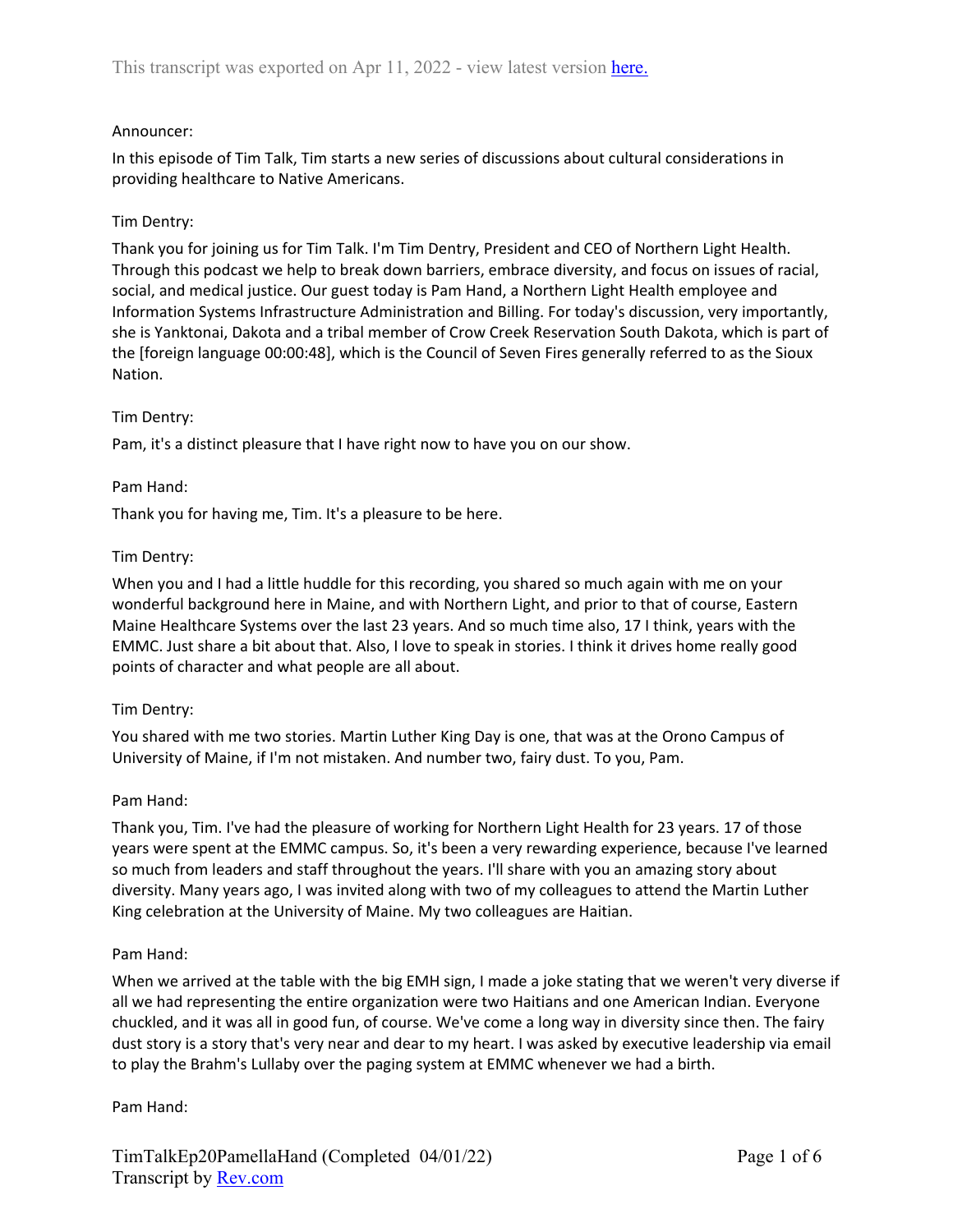## Announcer:

In this episode of Tim Talk, Tim starts a new series of discussions about cultural considerations in providing healthcare to Native Americans.

## Tim Dentry:

Thank you for joining us for Tim Talk. I'm Tim Dentry, President and CEO of Northern Light Health. Through this podcast we help to break down barriers, embrace diversity, and focus on issues of racial, social, and medical justice. Our guest today is Pam Hand, a Northern Light Health employee and Information Systems Infrastructure Administration and Billing. For today's discussion, very importantly, she is Yanktonai, Dakota and a tribal member of Crow Creek Reservation South Dakota, which is part of the [foreign language 00:00:48], which is the Council of Seven Fires generally referred to as the Sioux Nation.

#### Tim Dentry:

Pam, it's a distinct pleasure that I have right now to have you on our show.

### Pam Hand:

Thank you for having me, Tim. It's a pleasure to be here.

### Tim Dentry:

When you and I had a little huddle for this recording, you shared so much again with me on your wonderful background here in Maine, and with Northern Light, and prior to that of course, Eastern Maine Healthcare Systems over the last 23 years. And so much time also, 17 I think, years with the EMMC. Just share a bit about that. Also, I love to speak in stories. I think it drives home really good points of character and what people are all about.

#### Tim Dentry:

You shared with me two stories. Martin Luther King Day is one, that was at the Orono Campus of University of Maine, if I'm not mistaken. And number two, fairy dust. To you, Pam.

#### Pam Hand:

Thank you, Tim. I've had the pleasure of working for Northern Light Health for 23 years. 17 of those years were spent at the EMMC campus. So, it's been a very rewarding experience, because I've learned so much from leaders and staff throughout the years. I'll share with you an amazing story about diversity. Many years ago, I was invited along with two of my colleagues to attend the Martin Luther King celebration at the University of Maine. My two colleagues are Haitian.

#### Pam Hand:

When we arrived at the table with the big EMH sign, I made a joke stating that we weren't very diverse if all we had representing the entire organization were two Haitians and one American Indian. Everyone chuckled, and it was all in good fun, of course. We've come a long way in diversity since then. The fairy dust story is a story that's very near and dear to my heart. I was asked by executive leadership via email to play the Brahm's Lullaby over the paging system at EMMC whenever we had a birth.

Pam Hand: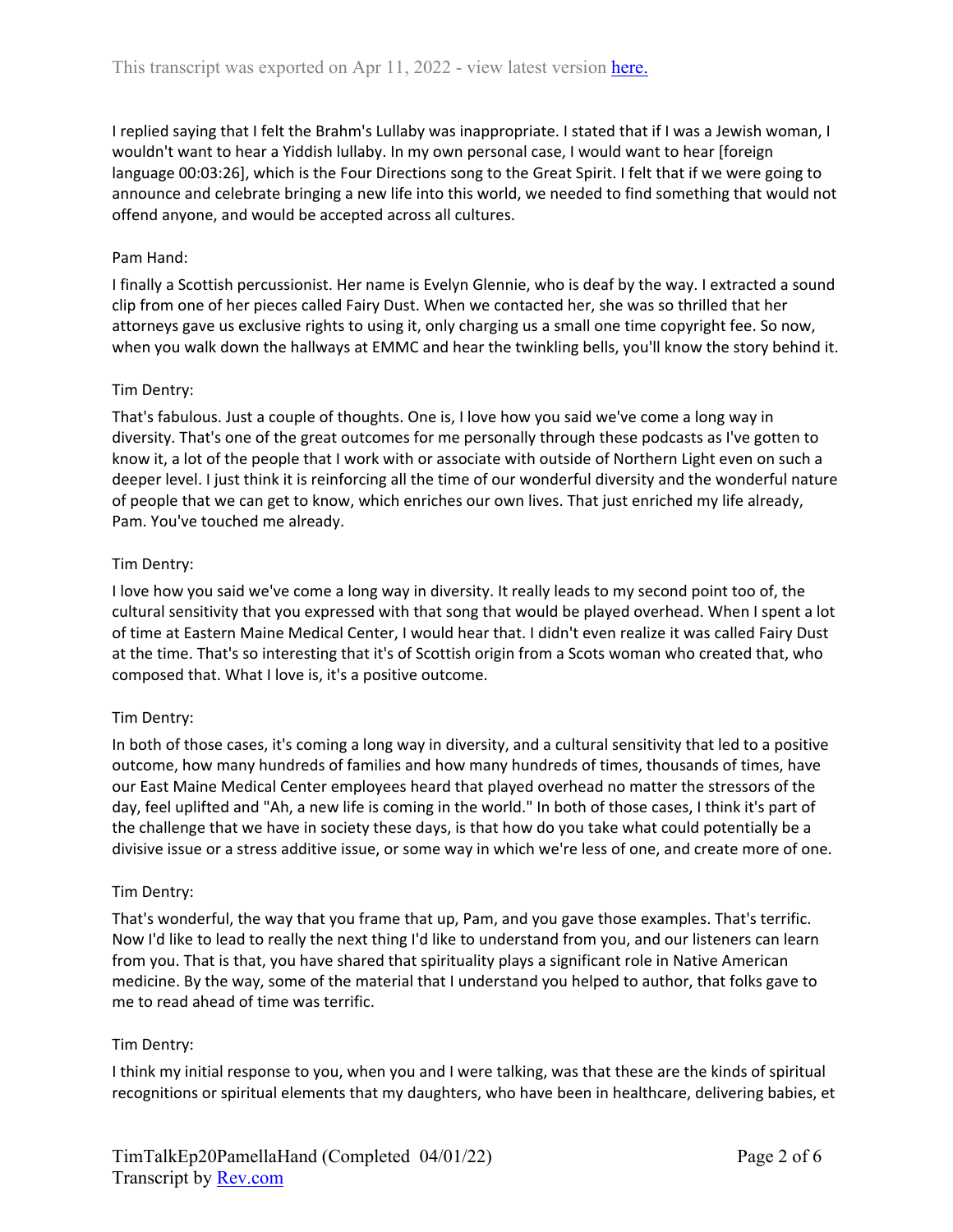I replied saying that I felt the Brahm's Lullaby was inappropriate. I stated that if I was a Jewish woman, I wouldn't want to hear a Yiddish lullaby. In my own personal case, I would want to hear [foreign language 00:03:26], which is the Four Directions song to the Great Spirit. I felt that if we were going to announce and celebrate bringing a new life into this world, we needed to find something that would not offend anyone, and would be accepted across all cultures.

## Pam Hand:

I finally a Scottish percussionist. Her name is Evelyn Glennie, who is deaf by the way. I extracted a sound clip from one of her pieces called Fairy Dust. When we contacted her, she was so thrilled that her attorneys gave us exclusive rights to using it, only charging us a small one time copyright fee. So now, when you walk down the hallways at EMMC and hear the twinkling bells, you'll know the story behind it.

### Tim Dentry:

That's fabulous. Just a couple of thoughts. One is, I love how you said we've come a long way in diversity. That's one of the great outcomes for me personally through these podcasts as I've gotten to know it, a lot of the people that I work with or associate with outside of Northern Light even on such a deeper level. I just think it is reinforcing all the time of our wonderful diversity and the wonderful nature of people that we can get to know, which enriches our own lives. That just enriched my life already, Pam. You've touched me already.

### Tim Dentry:

I love how you said we've come a long way in diversity. It really leads to my second point too of, the cultural sensitivity that you expressed with that song that would be played overhead. When I spent a lot of time at Eastern Maine Medical Center, I would hear that. I didn't even realize it was called Fairy Dust at the time. That's so interesting that it's of Scottish origin from a Scots woman who created that, who composed that. What I love is, it's a positive outcome.

#### Tim Dentry:

In both of those cases, it's coming a long way in diversity, and a cultural sensitivity that led to a positive outcome, how many hundreds of families and how many hundreds of times, thousands of times, have our East Maine Medical Center employees heard that played overhead no matter the stressors of the day, feel uplifted and "Ah, a new life is coming in the world." In both of those cases, I think it's part of the challenge that we have in society these days, is that how do you take what could potentially be a divisive issue or a stress additive issue, or some way in which we're less of one, and create more of one.

#### Tim Dentry:

That's wonderful, the way that you frame that up, Pam, and you gave those examples. That's terrific. Now I'd like to lead to really the next thing I'd like to understand from you, and our listeners can learn from you. That is that, you have shared that spirituality plays a significant role in Native American medicine. By the way, some of the material that I understand you helped to author, that folks gave to me to read ahead of time was terrific.

#### Tim Dentry:

I think my initial response to you, when you and I were talking, was that these are the kinds of spiritual recognitions or spiritual elements that my daughters, who have been in healthcare, delivering babies, et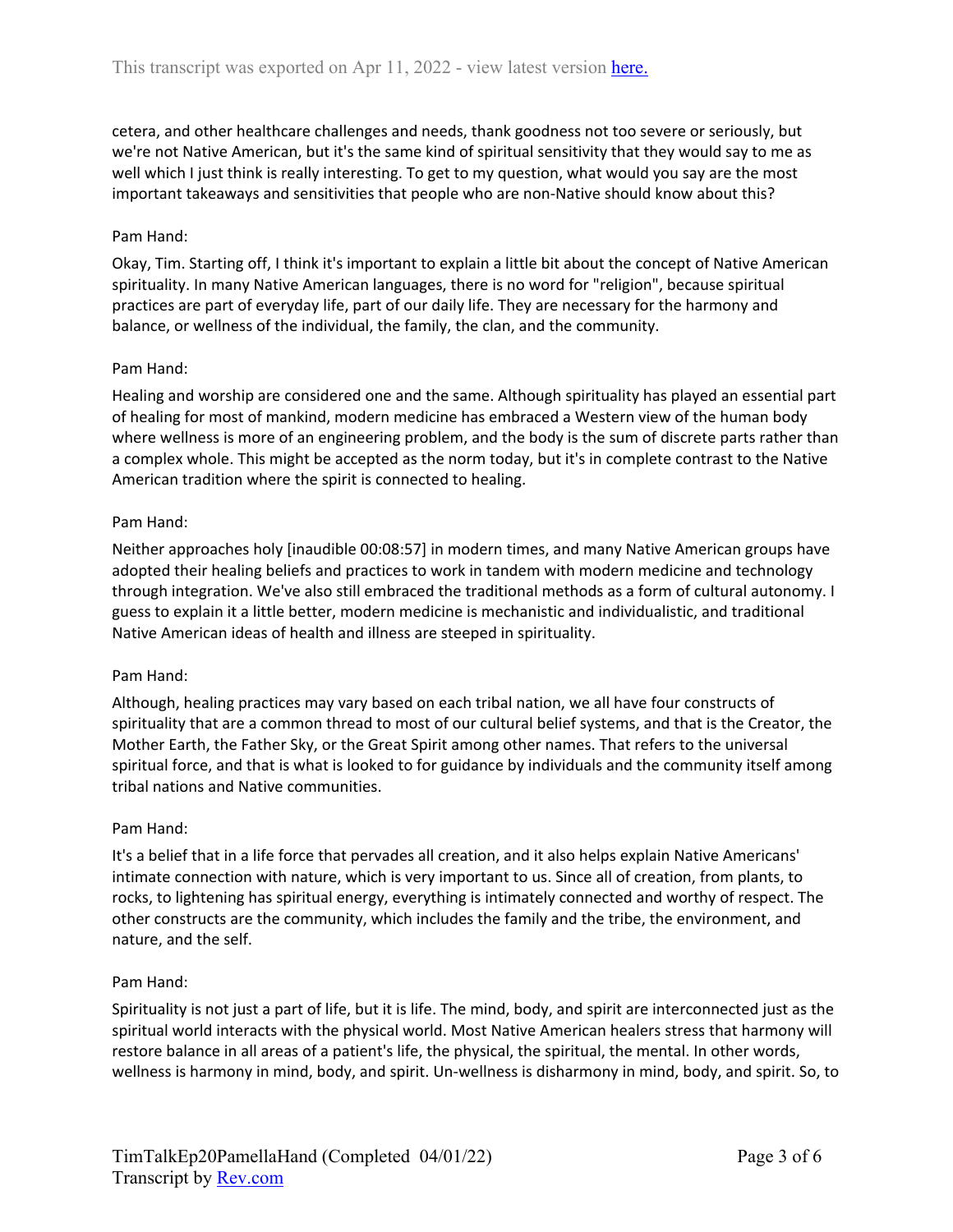cetera, and other healthcare challenges and needs, thank goodness not too severe or seriously, but we're not Native American, but it's the same kind of spiritual sensitivity that they would say to me as well which I just think is really interesting. To get to my question, what would you say are the most important takeaways and sensitivities that people who are non-Native should know about this?

## Pam Hand:

Okay, Tim. Starting off, I think it's important to explain a little bit about the concept of Native American spirituality. In many Native American languages, there is no word for "religion", because spiritual practices are part of everyday life, part of our daily life. They are necessary for the harmony and balance, or wellness of the individual, the family, the clan, and the community.

### Pam Hand:

Healing and worship are considered one and the same. Although spirituality has played an essential part of healing for most of mankind, modern medicine has embraced a Western view of the human body where wellness is more of an engineering problem, and the body is the sum of discrete parts rather than a complex whole. This might be accepted as the norm today, but it's in complete contrast to the Native American tradition where the spirit is connected to healing.

#### Pam Hand:

Neither approaches holy [inaudible 00:08:57] in modern times, and many Native American groups have adopted their healing beliefs and practices to work in tandem with modern medicine and technology through integration. We've also still embraced the traditional methods as a form of cultural autonomy. I guess to explain it a little better, modern medicine is mechanistic and individualistic, and traditional Native American ideas of health and illness are steeped in spirituality.

#### Pam Hand:

Although, healing practices may vary based on each tribal nation, we all have four constructs of spirituality that are a common thread to most of our cultural belief systems, and that is the Creator, the Mother Earth, the Father Sky, or the Great Spirit among other names. That refers to the universal spiritual force, and that is what is looked to for guidance by individuals and the community itself among tribal nations and Native communities.

#### Pam Hand:

It's a belief that in a life force that pervades all creation, and it also helps explain Native Americans' intimate connection with nature, which is very important to us. Since all of creation, from plants, to rocks, to lightening has spiritual energy, everything is intimately connected and worthy of respect. The other constructs are the community, which includes the family and the tribe, the environment, and nature, and the self.

#### Pam Hand:

Spirituality is not just a part of life, but it is life. The mind, body, and spirit are interconnected just as the spiritual world interacts with the physical world. Most Native American healers stress that harmony will restore balance in all areas of a patient's life, the physical, the spiritual, the mental. In other words, wellness is harmony in mind, body, and spirit. Un-wellness is disharmony in mind, body, and spirit. So, to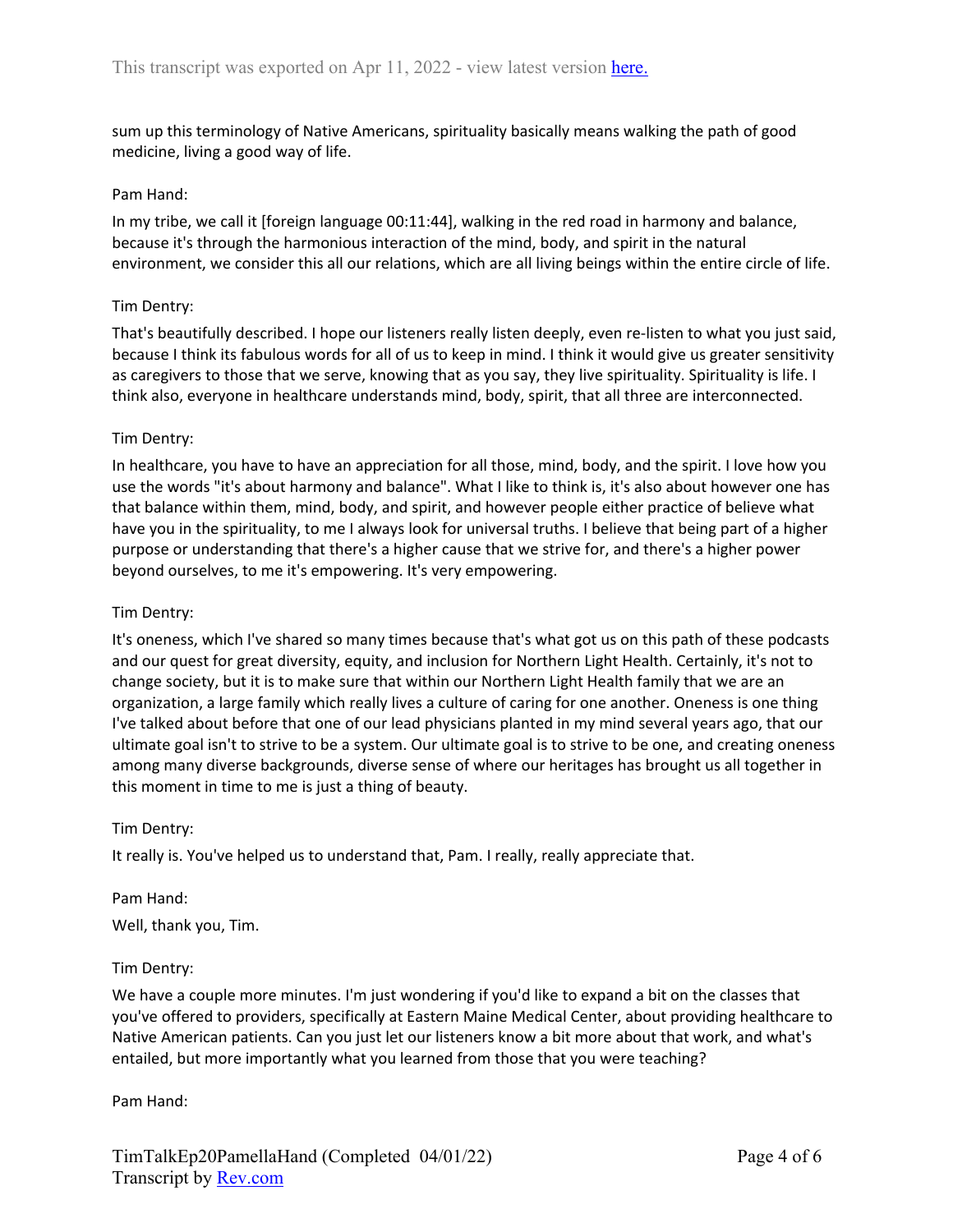sum up this terminology of Native Americans, spirituality basically means walking the path of good medicine, living a good way of life.

#### Pam Hand:

In my tribe, we call it [foreign language 00:11:44], walking in the red road in harmony and balance, because it's through the harmonious interaction of the mind, body, and spirit in the natural environment, we consider this all our relations, which are all living beings within the entire circle of life.

#### Tim Dentry:

That's beautifully described. I hope our listeners really listen deeply, even re-listen to what you just said, because I think its fabulous words for all of us to keep in mind. I think it would give us greater sensitivity as caregivers to those that we serve, knowing that as you say, they live spirituality. Spirituality is life. I think also, everyone in healthcare understands mind, body, spirit, that all three are interconnected.

### Tim Dentry:

In healthcare, you have to have an appreciation for all those, mind, body, and the spirit. I love how you use the words "it's about harmony and balance". What I like to think is, it's also about however one has that balance within them, mind, body, and spirit, and however people either practice of believe what have you in the spirituality, to me I always look for universal truths. I believe that being part of a higher purpose or understanding that there's a higher cause that we strive for, and there's a higher power beyond ourselves, to me it's empowering. It's very empowering.

### Tim Dentry:

It's oneness, which I've shared so many times because that's what got us on this path of these podcasts and our quest for great diversity, equity, and inclusion for Northern Light Health. Certainly, it's not to change society, but it is to make sure that within our Northern Light Health family that we are an organization, a large family which really lives a culture of caring for one another. Oneness is one thing I've talked about before that one of our lead physicians planted in my mind several years ago, that our ultimate goal isn't to strive to be a system. Our ultimate goal is to strive to be one, and creating oneness among many diverse backgrounds, diverse sense of where our heritages has brought us all together in this moment in time to me is just a thing of beauty.

#### Tim Dentry:

It really is. You've helped us to understand that, Pam. I really, really appreciate that.

Pam Hand:

Well, thank you, Tim.

#### Tim Dentry:

We have a couple more minutes. I'm just wondering if you'd like to expand a bit on the classes that you've offered to providers, specifically at Eastern Maine Medical Center, about providing healthcare to Native American patients. Can you just let our listeners know a bit more about that work, and what's entailed, but more importantly what you learned from those that you were teaching?

Pam Hand: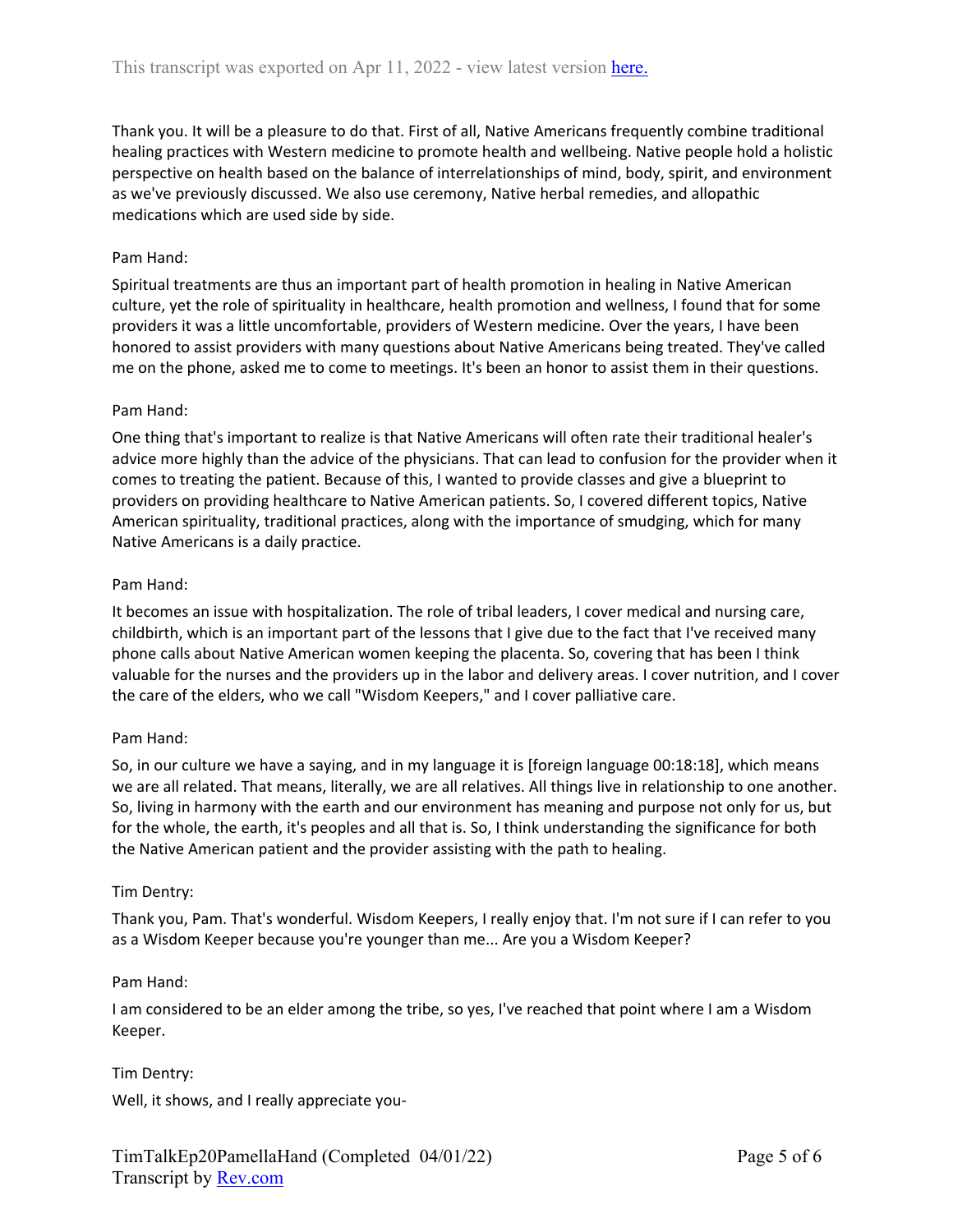Thank you. It will be a pleasure to do that. First of all, Native Americans frequently combine traditional healing practices with Western medicine to promote health and wellbeing. Native people hold a holistic perspective on health based on the balance of interrelationships of mind, body, spirit, and environment as we've previously discussed. We also use ceremony, Native herbal remedies, and allopathic medications which are used side by side.

## Pam Hand:

Spiritual treatments are thus an important part of health promotion in healing in Native American culture, yet the role of spirituality in healthcare, health promotion and wellness, I found that for some providers it was a little uncomfortable, providers of Western medicine. Over the years, I have been honored to assist providers with many questions about Native Americans being treated. They've called me on the phone, asked me to come to meetings. It's been an honor to assist them in their questions.

#### Pam Hand:

One thing that's important to realize is that Native Americans will often rate their traditional healer's advice more highly than the advice of the physicians. That can lead to confusion for the provider when it comes to treating the patient. Because of this, I wanted to provide classes and give a blueprint to providers on providing healthcare to Native American patients. So, I covered different topics, Native American spirituality, traditional practices, along with the importance of smudging, which for many Native Americans is a daily practice.

#### Pam Hand:

It becomes an issue with hospitalization. The role of tribal leaders, I cover medical and nursing care, childbirth, which is an important part of the lessons that I give due to the fact that I've received many phone calls about Native American women keeping the placenta. So, covering that has been I think valuable for the nurses and the providers up in the labor and delivery areas. I cover nutrition, and I cover the care of the elders, who we call "Wisdom Keepers," and I cover palliative care.

#### Pam Hand:

So, in our culture we have a saying, and in my language it is [foreign language 00:18:18], which means we are all related. That means, literally, we are all relatives. All things live in relationship to one another. So, living in harmony with the earth and our environment has meaning and purpose not only for us, but for the whole, the earth, it's peoples and all that is. So, I think understanding the significance for both the Native American patient and the provider assisting with the path to healing.

#### Tim Dentry:

Thank you, Pam. That's wonderful. Wisdom Keepers, I really enjoy that. I'm not sure if I can refer to you as a Wisdom Keeper because you're younger than me... Are you a Wisdom Keeper?

#### Pam Hand:

I am considered to be an elder among the tribe, so yes, I've reached that point where I am a Wisdom Keeper.

Tim Dentry: Well, it shows, and I really appreciate you-